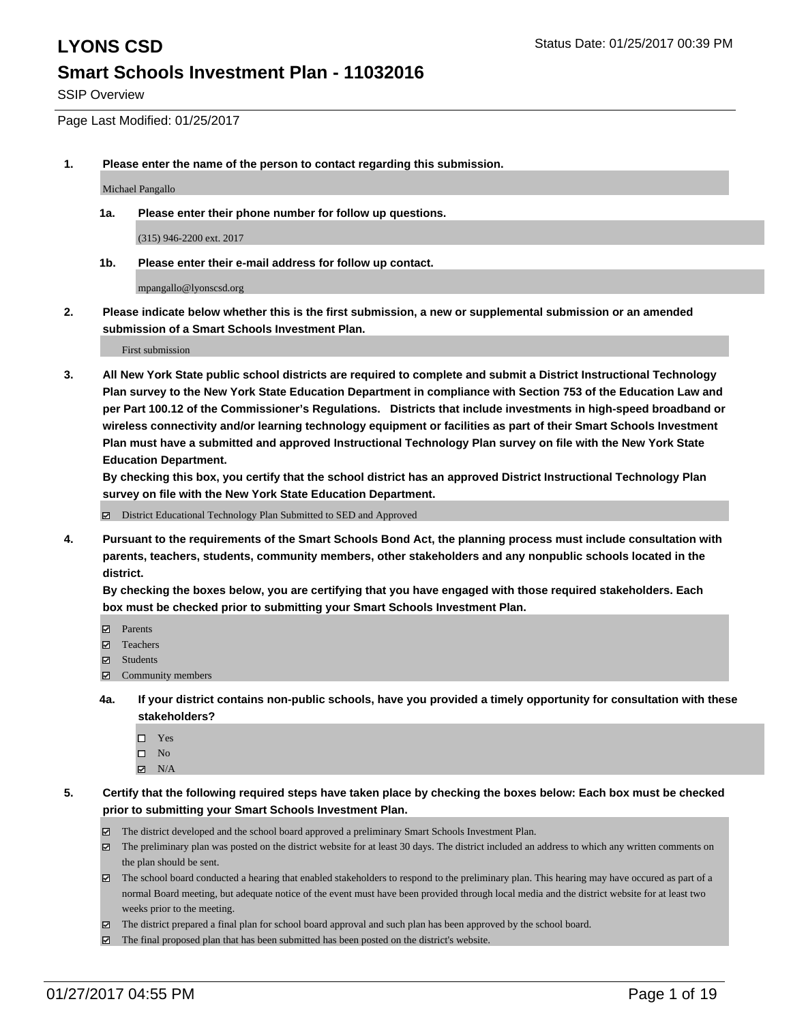SSIP Overview

Page Last Modified: 01/25/2017

**1. Please enter the name of the person to contact regarding this submission.**

Michael Pangallo

**1a. Please enter their phone number for follow up questions.**

(315) 946-2200 ext. 2017

**1b. Please enter their e-mail address for follow up contact.**

mpangallo@lyonscsd.org

**2. Please indicate below whether this is the first submission, a new or supplemental submission or an amended submission of a Smart Schools Investment Plan.**

First submission

**3. All New York State public school districts are required to complete and submit a District Instructional Technology Plan survey to the New York State Education Department in compliance with Section 753 of the Education Law and per Part 100.12 of the Commissioner's Regulations. Districts that include investments in high-speed broadband or wireless connectivity and/or learning technology equipment or facilities as part of their Smart Schools Investment Plan must have a submitted and approved Instructional Technology Plan survey on file with the New York State Education Department.** 

**By checking this box, you certify that the school district has an approved District Instructional Technology Plan survey on file with the New York State Education Department.**

District Educational Technology Plan Submitted to SED and Approved

**4. Pursuant to the requirements of the Smart Schools Bond Act, the planning process must include consultation with parents, teachers, students, community members, other stakeholders and any nonpublic schools located in the district.** 

**By checking the boxes below, you are certifying that you have engaged with those required stakeholders. Each box must be checked prior to submitting your Smart Schools Investment Plan.**

- **Parents**
- Teachers
- **冈** Students
- Community members
- **4a. If your district contains non-public schools, have you provided a timely opportunity for consultation with these stakeholders?**
	- □ Yes
	- $\square$  No
	- $\boxtimes$  N/A
- **5. Certify that the following required steps have taken place by checking the boxes below: Each box must be checked prior to submitting your Smart Schools Investment Plan.**
	- The district developed and the school board approved a preliminary Smart Schools Investment Plan.
	- The preliminary plan was posted on the district website for at least 30 days. The district included an address to which any written comments on the plan should be sent.
	- The school board conducted a hearing that enabled stakeholders to respond to the preliminary plan. This hearing may have occured as part of a normal Board meeting, but adequate notice of the event must have been provided through local media and the district website for at least two weeks prior to the meeting.
	- The district prepared a final plan for school board approval and such plan has been approved by the school board.
	- $\boxtimes$  The final proposed plan that has been submitted has been posted on the district's website.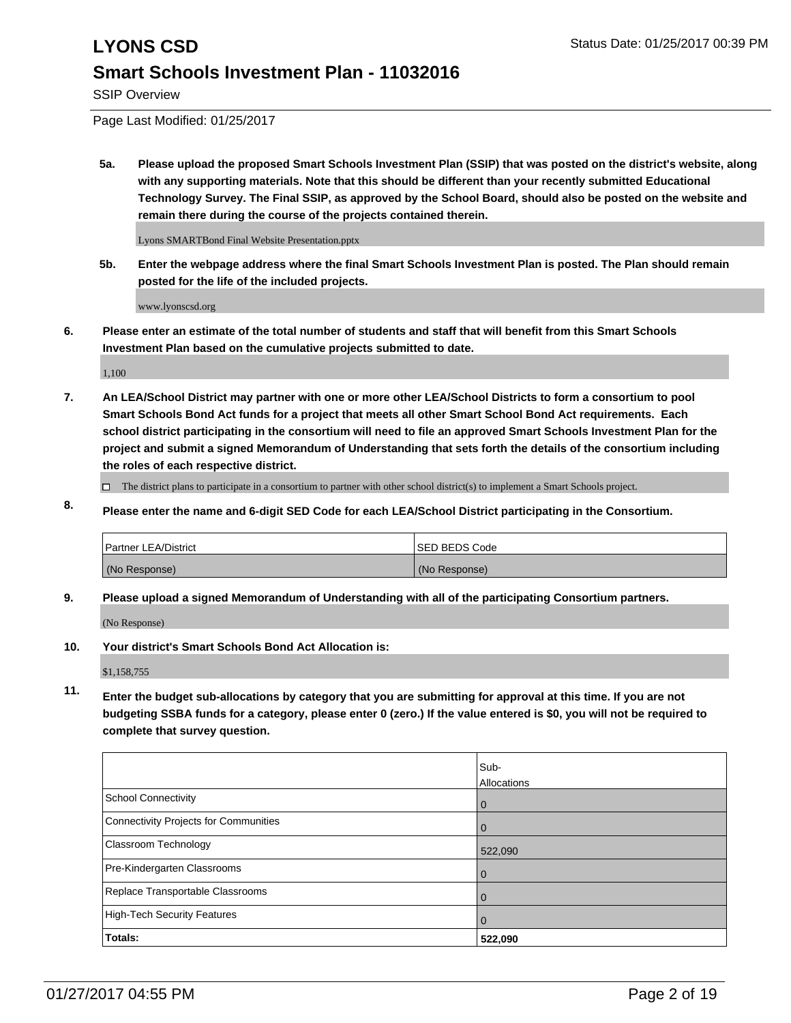SSIP Overview

Page Last Modified: 01/25/2017

**5a. Please upload the proposed Smart Schools Investment Plan (SSIP) that was posted on the district's website, along with any supporting materials. Note that this should be different than your recently submitted Educational Technology Survey. The Final SSIP, as approved by the School Board, should also be posted on the website and remain there during the course of the projects contained therein.**

Lyons SMARTBond Final Website Presentation.pptx

**5b. Enter the webpage address where the final Smart Schools Investment Plan is posted. The Plan should remain posted for the life of the included projects.**

www.lyonscsd.org

**6. Please enter an estimate of the total number of students and staff that will benefit from this Smart Schools Investment Plan based on the cumulative projects submitted to date.**

1,100

- **7. An LEA/School District may partner with one or more other LEA/School Districts to form a consortium to pool Smart Schools Bond Act funds for a project that meets all other Smart School Bond Act requirements. Each school district participating in the consortium will need to file an approved Smart Schools Investment Plan for the project and submit a signed Memorandum of Understanding that sets forth the details of the consortium including the roles of each respective district.**
	- $\Box$  The district plans to participate in a consortium to partner with other school district(s) to implement a Smart Schools project.
- **8. Please enter the name and 6-digit SED Code for each LEA/School District participating in the Consortium.**

| Partner LEA/District | <b>ISED BEDS Code</b> |
|----------------------|-----------------------|
| (No Response)        | (No Response)         |

**9. Please upload a signed Memorandum of Understanding with all of the participating Consortium partners.**

(No Response)

**10. Your district's Smart Schools Bond Act Allocation is:**

\$1,158,755

**11. Enter the budget sub-allocations by category that you are submitting for approval at this time. If you are not budgeting SSBA funds for a category, please enter 0 (zero.) If the value entered is \$0, you will not be required to complete that survey question.**

|                                       | Sub-        |
|---------------------------------------|-------------|
|                                       | Allocations |
| School Connectivity                   | $\mathbf 0$ |
| Connectivity Projects for Communities | $\Omega$    |
| <b>Classroom Technology</b>           | 522,090     |
| Pre-Kindergarten Classrooms           | $\Omega$    |
| Replace Transportable Classrooms      | 0           |
| High-Tech Security Features           | 0           |
| Totals:                               | 522,090     |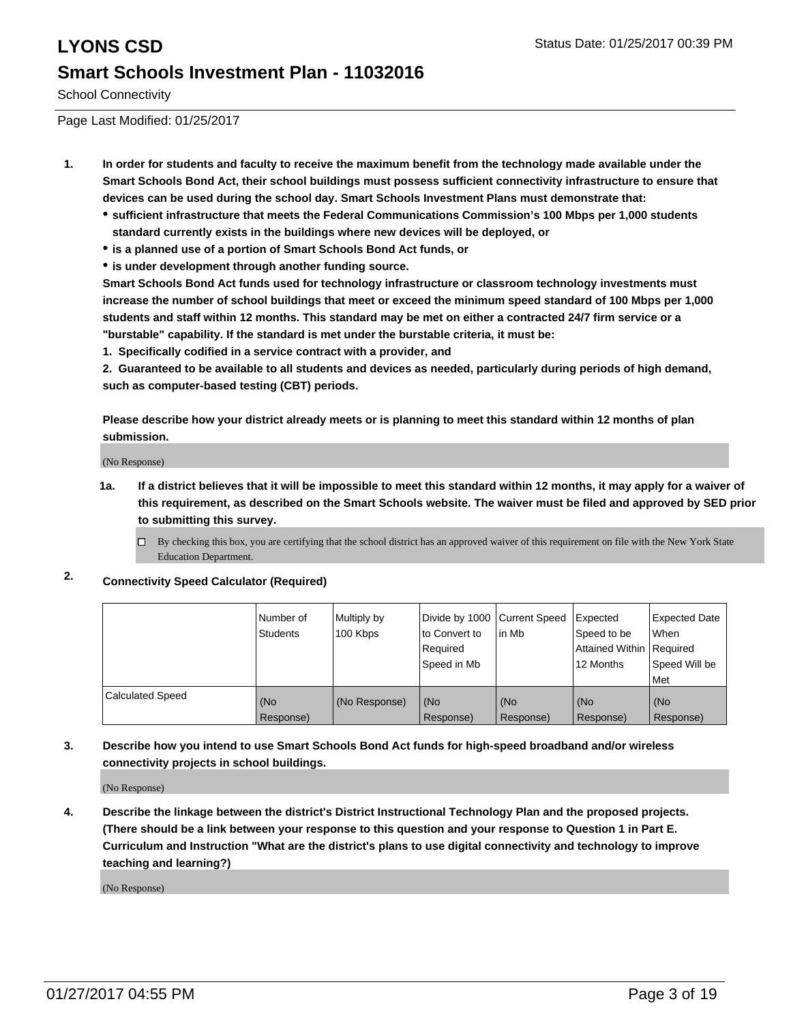School Connectivity

Page Last Modified: 01/25/2017

- **1. In order for students and faculty to receive the maximum benefit from the technology made available under the Smart Schools Bond Act, their school buildings must possess sufficient connectivity infrastructure to ensure that devices can be used during the school day. Smart Schools Investment Plans must demonstrate that:**
	- **sufficient infrastructure that meets the Federal Communications Commission's 100 Mbps per 1,000 students standard currently exists in the buildings where new devices will be deployed, or**
	- **is a planned use of a portion of Smart Schools Bond Act funds, or**
	- **is under development through another funding source.**

**Smart Schools Bond Act funds used for technology infrastructure or classroom technology investments must increase the number of school buildings that meet or exceed the minimum speed standard of 100 Mbps per 1,000 students and staff within 12 months. This standard may be met on either a contracted 24/7 firm service or a "burstable" capability. If the standard is met under the burstable criteria, it must be:**

**1. Specifically codified in a service contract with a provider, and**

**2. Guaranteed to be available to all students and devices as needed, particularly during periods of high demand, such as computer-based testing (CBT) periods.**

**Please describe how your district already meets or is planning to meet this standard within 12 months of plan submission.**

(No Response)

**1a. If a district believes that it will be impossible to meet this standard within 12 months, it may apply for a waiver of this requirement, as described on the Smart Schools website. The waiver must be filed and approved by SED prior to submitting this survey.**

 $\Box$ By checking this box, you are certifying that the school district has an approved waiver of this requirement on file with the New York State Education Department.

**2. Connectivity Speed Calculator (Required)**

|                         | Number of<br>Students | Multiply by<br>100 Kbps | Divide by 1000 Current Speed<br>Ito Convert to<br>Required<br>Speed in Mb | lin Mb           | Expected<br>Speed to be<br>Attained Within Required<br>12 Months | <b>Expected Date</b><br>l When<br>Speed Will be<br>Met |
|-------------------------|-----------------------|-------------------------|---------------------------------------------------------------------------|------------------|------------------------------------------------------------------|--------------------------------------------------------|
| <b>Calculated Speed</b> | (No<br>Response)      | (No Response)           | (No<br>Response)                                                          | (No<br>Response) | (No<br>Response)                                                 | l (No<br>Response)                                     |

**3. Describe how you intend to use Smart Schools Bond Act funds for high-speed broadband and/or wireless connectivity projects in school buildings.**

(No Response)

**4. Describe the linkage between the district's District Instructional Technology Plan and the proposed projects. (There should be a link between your response to this question and your response to Question 1 in Part E. Curriculum and Instruction "What are the district's plans to use digital connectivity and technology to improve teaching and learning?)**

(No Response)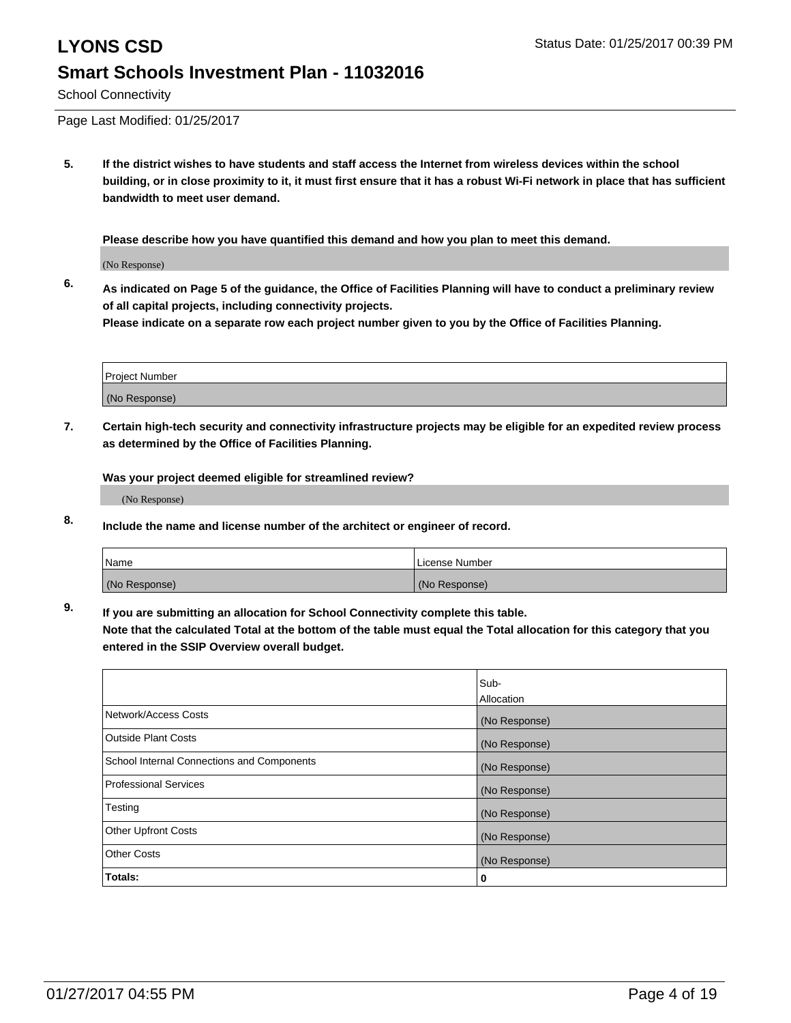School Connectivity

Page Last Modified: 01/25/2017

**5. If the district wishes to have students and staff access the Internet from wireless devices within the school building, or in close proximity to it, it must first ensure that it has a robust Wi-Fi network in place that has sufficient bandwidth to meet user demand.**

**Please describe how you have quantified this demand and how you plan to meet this demand.**

(No Response)

**6. As indicated on Page 5 of the guidance, the Office of Facilities Planning will have to conduct a preliminary review of all capital projects, including connectivity projects.**

**Please indicate on a separate row each project number given to you by the Office of Facilities Planning.**

| Project Number |  |
|----------------|--|
|                |  |
| (No Response)  |  |

**7. Certain high-tech security and connectivity infrastructure projects may be eligible for an expedited review process as determined by the Office of Facilities Planning.**

**Was your project deemed eligible for streamlined review?**

(No Response)

**8. Include the name and license number of the architect or engineer of record.**

| <b>Name</b>   | License Number |
|---------------|----------------|
| (No Response) | (No Response)  |

**9. If you are submitting an allocation for School Connectivity complete this table.**

**Note that the calculated Total at the bottom of the table must equal the Total allocation for this category that you entered in the SSIP Overview overall budget.** 

|                                            | Sub-          |
|--------------------------------------------|---------------|
|                                            | Allocation    |
| Network/Access Costs                       | (No Response) |
| <b>Outside Plant Costs</b>                 | (No Response) |
| School Internal Connections and Components | (No Response) |
| <b>Professional Services</b>               | (No Response) |
| Testing                                    | (No Response) |
| <b>Other Upfront Costs</b>                 | (No Response) |
| <b>Other Costs</b>                         | (No Response) |
| Totals:                                    | 0             |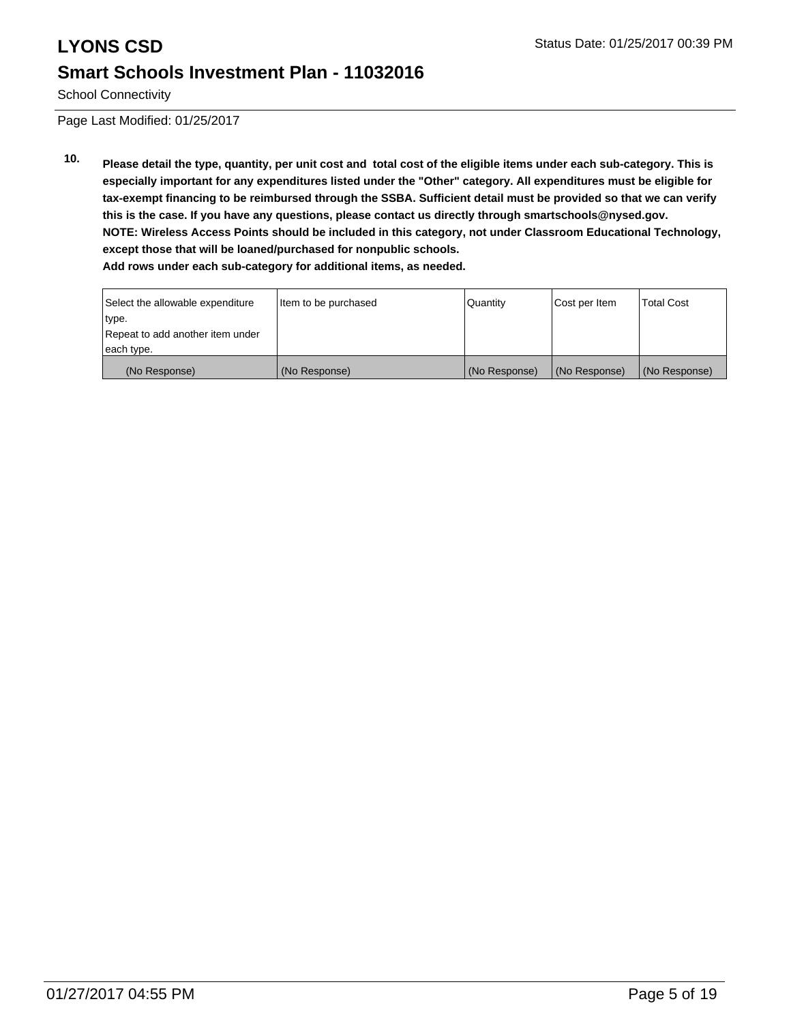School Connectivity

Page Last Modified: 01/25/2017

**10. Please detail the type, quantity, per unit cost and total cost of the eligible items under each sub-category. This is especially important for any expenditures listed under the "Other" category. All expenditures must be eligible for tax-exempt financing to be reimbursed through the SSBA. Sufficient detail must be provided so that we can verify this is the case. If you have any questions, please contact us directly through smartschools@nysed.gov. NOTE: Wireless Access Points should be included in this category, not under Classroom Educational Technology, except those that will be loaned/purchased for nonpublic schools. Add rows under each sub-category for additional items, as needed.**

| Select the allowable expenditure | Item to be purchased | <b>Quantity</b> | Cost per Item | <b>Total Cost</b> |
|----------------------------------|----------------------|-----------------|---------------|-------------------|
| type.                            |                      |                 |               |                   |
| Repeat to add another item under |                      |                 |               |                   |
| each type.                       |                      |                 |               |                   |
| (No Response)                    | (No Response)        | (No Response)   | (No Response) | (No Response)     |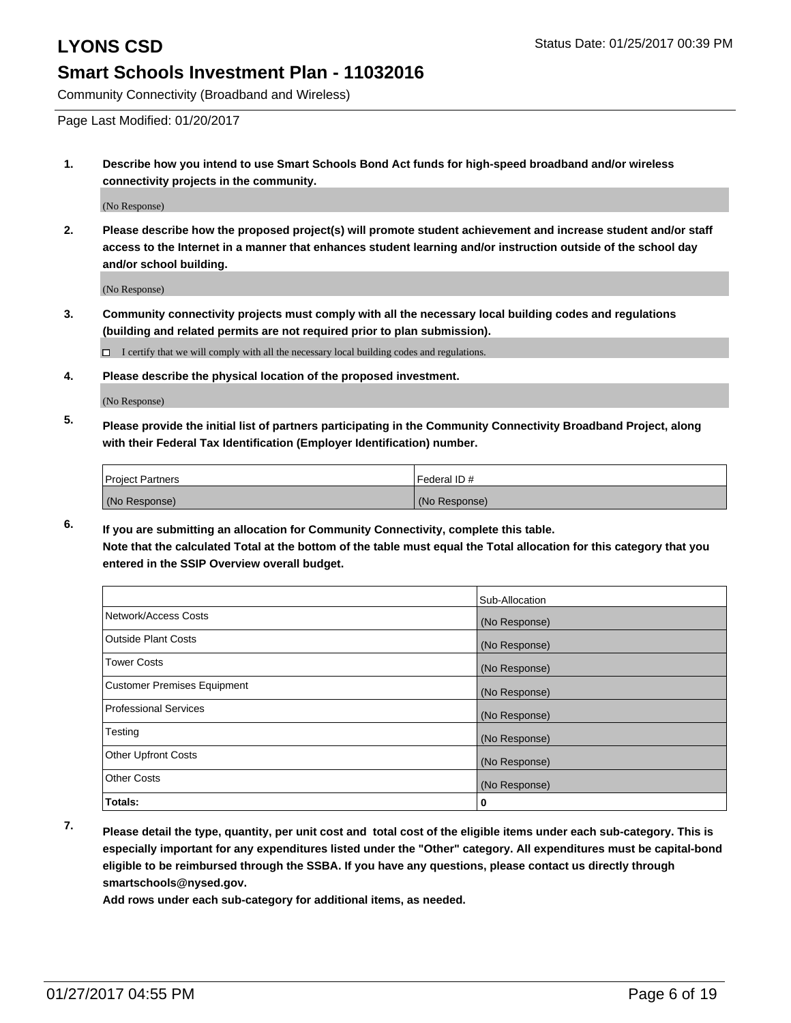Community Connectivity (Broadband and Wireless)

Page Last Modified: 01/20/2017

**1. Describe how you intend to use Smart Schools Bond Act funds for high-speed broadband and/or wireless connectivity projects in the community.**

(No Response)

**2. Please describe how the proposed project(s) will promote student achievement and increase student and/or staff access to the Internet in a manner that enhances student learning and/or instruction outside of the school day and/or school building.**

(No Response)

**3. Community connectivity projects must comply with all the necessary local building codes and regulations (building and related permits are not required prior to plan submission).**

 $\Box$  I certify that we will comply with all the necessary local building codes and regulations.

**4. Please describe the physical location of the proposed investment.**

(No Response)

**5. Please provide the initial list of partners participating in the Community Connectivity Broadband Project, along with their Federal Tax Identification (Employer Identification) number.**

| <b>Project Partners</b> | l Federal ID # |
|-------------------------|----------------|
| (No Response)           | (No Response)  |

**6. If you are submitting an allocation for Community Connectivity, complete this table. Note that the calculated Total at the bottom of the table must equal the Total allocation for this category that you entered in the SSIP Overview overall budget.**

|                                    | Sub-Allocation |
|------------------------------------|----------------|
| Network/Access Costs               | (No Response)  |
| <b>Outside Plant Costs</b>         | (No Response)  |
| <b>Tower Costs</b>                 | (No Response)  |
| <b>Customer Premises Equipment</b> | (No Response)  |
| <b>Professional Services</b>       | (No Response)  |
| Testing                            | (No Response)  |
| Other Upfront Costs                | (No Response)  |
| <b>Other Costs</b>                 | (No Response)  |
| Totals:                            | 0              |

**7. Please detail the type, quantity, per unit cost and total cost of the eligible items under each sub-category. This is especially important for any expenditures listed under the "Other" category. All expenditures must be capital-bond eligible to be reimbursed through the SSBA. If you have any questions, please contact us directly through smartschools@nysed.gov.**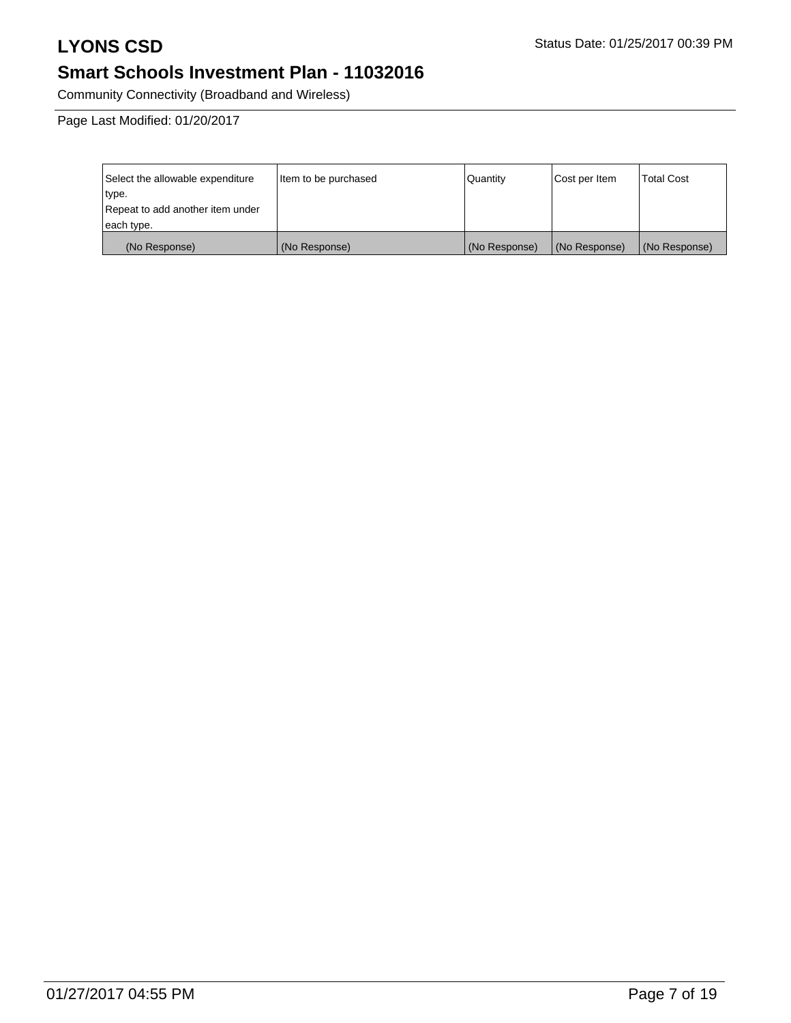# **LYONS CSD** Status Date: 01/25/2017 00:39 PM

# **Smart Schools Investment Plan - 11032016**

Community Connectivity (Broadband and Wireless)

Page Last Modified: 01/20/2017

| Select the allowable expenditure | Item to be purchased | Quantity      | Cost per Item | <b>Total Cost</b> |
|----------------------------------|----------------------|---------------|---------------|-------------------|
| type.                            |                      |               |               |                   |
| Repeat to add another item under |                      |               |               |                   |
| each type.                       |                      |               |               |                   |
| (No Response)                    | (No Response)        | (No Response) | (No Response) | (No Response)     |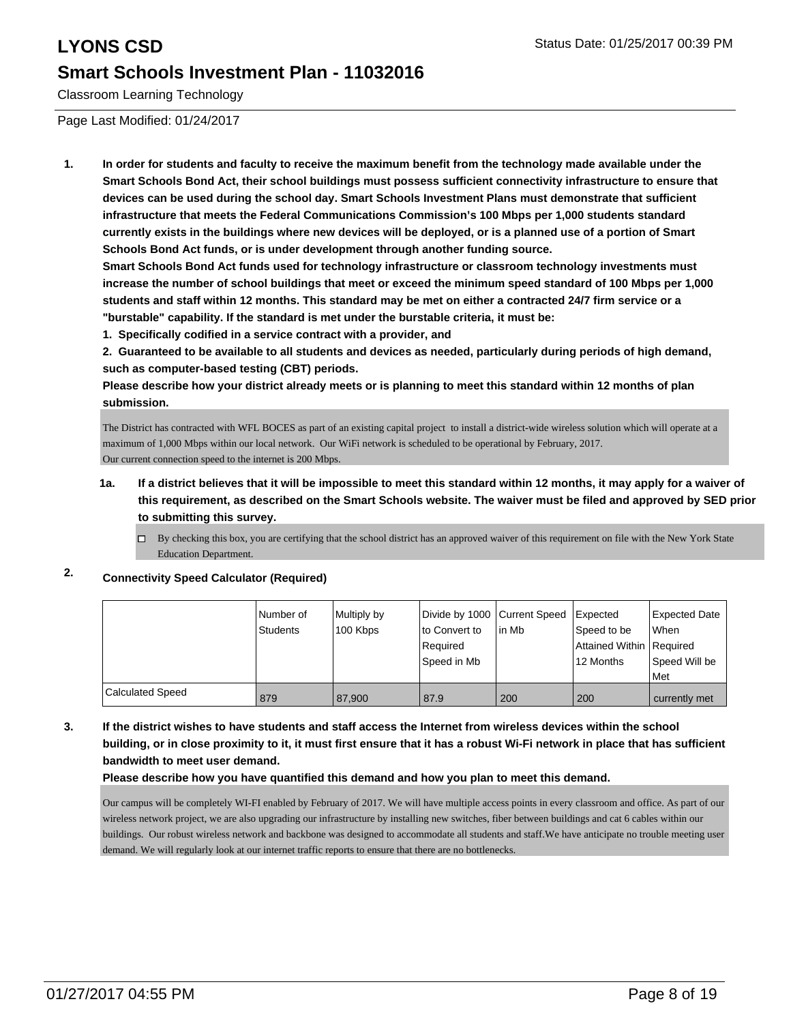Classroom Learning Technology

Page Last Modified: 01/24/2017

**1. In order for students and faculty to receive the maximum benefit from the technology made available under the Smart Schools Bond Act, their school buildings must possess sufficient connectivity infrastructure to ensure that devices can be used during the school day. Smart Schools Investment Plans must demonstrate that sufficient infrastructure that meets the Federal Communications Commission's 100 Mbps per 1,000 students standard currently exists in the buildings where new devices will be deployed, or is a planned use of a portion of Smart Schools Bond Act funds, or is under development through another funding source.**

**Smart Schools Bond Act funds used for technology infrastructure or classroom technology investments must increase the number of school buildings that meet or exceed the minimum speed standard of 100 Mbps per 1,000 students and staff within 12 months. This standard may be met on either a contracted 24/7 firm service or a "burstable" capability. If the standard is met under the burstable criteria, it must be:**

**1. Specifically codified in a service contract with a provider, and**

**2. Guaranteed to be available to all students and devices as needed, particularly during periods of high demand, such as computer-based testing (CBT) periods.**

**Please describe how your district already meets or is planning to meet this standard within 12 months of plan submission.**

The District has contracted with WFL BOCES as part of an existing capital project to install a district-wide wireless solution which will operate at a maximum of 1,000 Mbps within our local network. Our WiFi network is scheduled to be operational by February, 2017. Our current connection speed to the internet is 200 Mbps.

- **1a. If a district believes that it will be impossible to meet this standard within 12 months, it may apply for a waiver of this requirement, as described on the Smart Schools website. The waiver must be filed and approved by SED prior to submitting this survey.**
	- $\Box$  By checking this box, you are certifying that the school district has an approved waiver of this requirement on file with the New York State Education Department.

## **2. Connectivity Speed Calculator (Required)**

|                         | l Number of     | Multiply by | Divide by 1000 Current Speed |        | <b>I</b> Expected          | <b>Expected Date</b> |
|-------------------------|-----------------|-------------|------------------------------|--------|----------------------------|----------------------|
|                         | <b>Students</b> | 100 Kbps    | lto Convert to               | lin Mb | Speed to be                | When                 |
|                         |                 |             | Required                     |        | Attained Within   Required |                      |
|                         |                 |             | Speed in Mb                  |        | 12 Months                  | Speed Will be        |
|                         |                 |             |                              |        |                            | Met                  |
| <b>Calculated Speed</b> | 879             | 87.900      | 87.9                         | 200    | 200                        | currently met        |

**3. If the district wishes to have students and staff access the Internet from wireless devices within the school building, or in close proximity to it, it must first ensure that it has a robust Wi-Fi network in place that has sufficient bandwidth to meet user demand.**

## **Please describe how you have quantified this demand and how you plan to meet this demand.**

Our campus will be completely WI-FI enabled by February of 2017. We will have multiple access points in every classroom and office. As part of our wireless network project, we are also upgrading our infrastructure by installing new switches, fiber between buildings and cat 6 cables within our buildings. Our robust wireless network and backbone was designed to accommodate all students and staff.We have anticipate no trouble meeting user demand. We will regularly look at our internet traffic reports to ensure that there are no bottlenecks.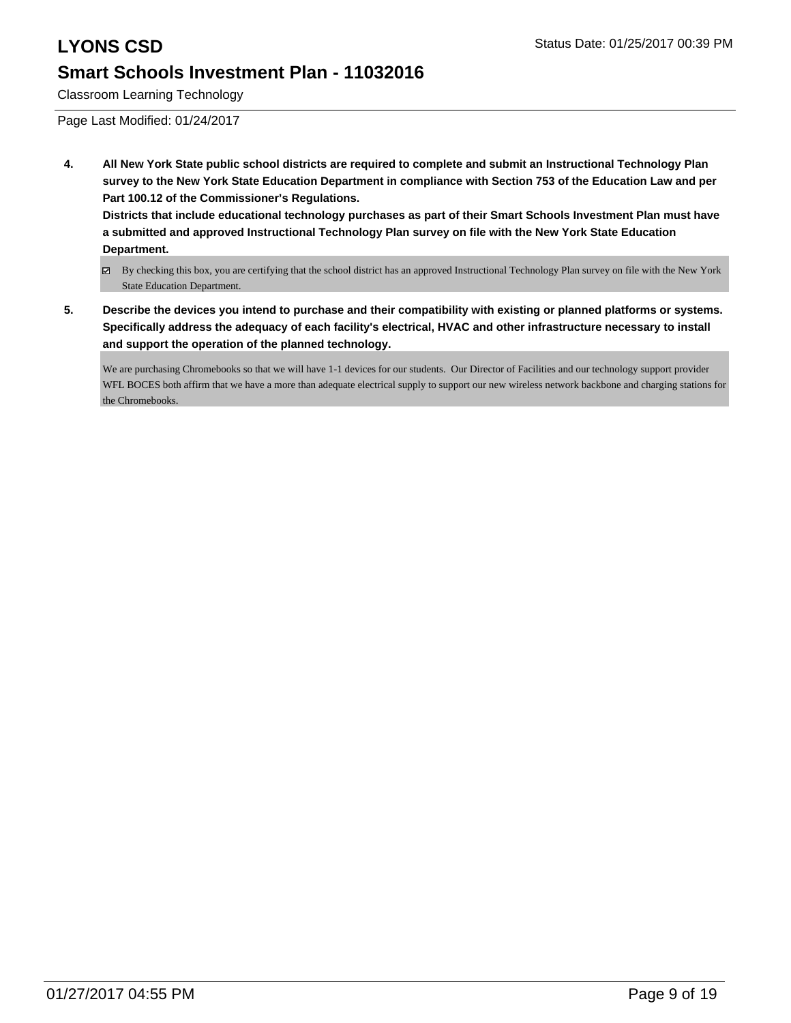Classroom Learning Technology

Page Last Modified: 01/24/2017

**4. All New York State public school districts are required to complete and submit an Instructional Technology Plan survey to the New York State Education Department in compliance with Section 753 of the Education Law and per Part 100.12 of the Commissioner's Regulations.**

**Districts that include educational technology purchases as part of their Smart Schools Investment Plan must have a submitted and approved Instructional Technology Plan survey on file with the New York State Education Department.**

- By checking this box, you are certifying that the school district has an approved Instructional Technology Plan survey on file with the New York State Education Department.
- **5. Describe the devices you intend to purchase and their compatibility with existing or planned platforms or systems. Specifically address the adequacy of each facility's electrical, HVAC and other infrastructure necessary to install and support the operation of the planned technology.**

We are purchasing Chromebooks so that we will have 1-1 devices for our students. Our Director of Facilities and our technology support provider WFL BOCES both affirm that we have a more than adequate electrical supply to support our new wireless network backbone and charging stations for the Chromebooks.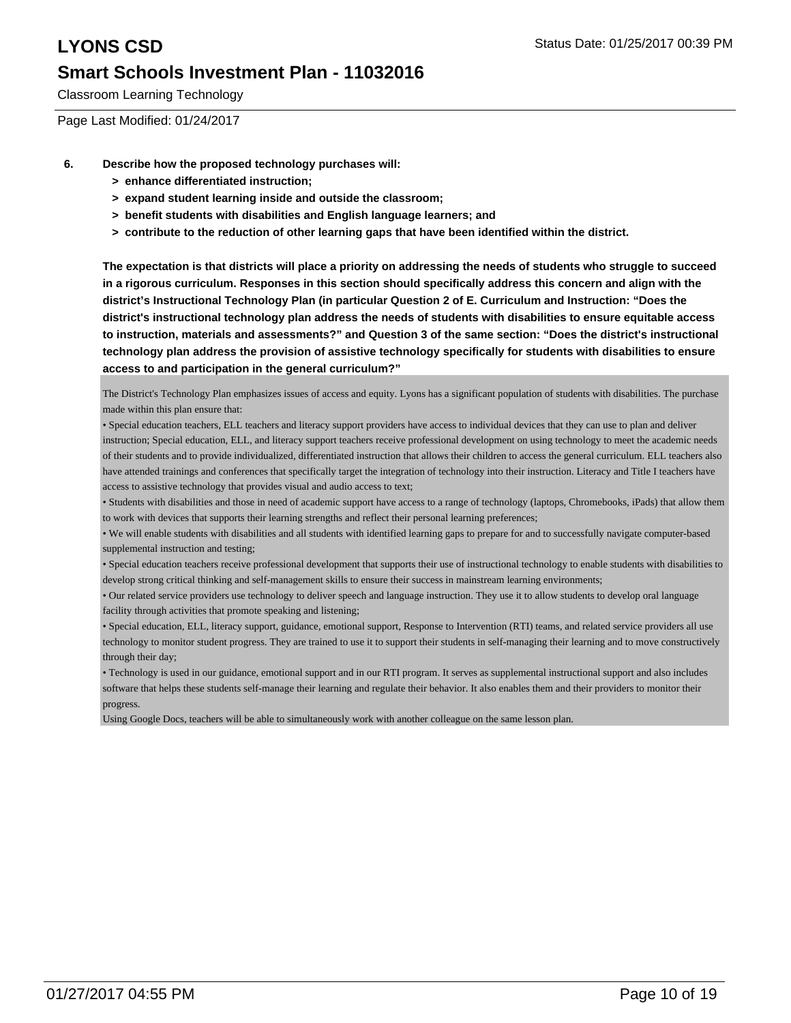Classroom Learning Technology

Page Last Modified: 01/24/2017

- **6. Describe how the proposed technology purchases will:**
	- **> enhance differentiated instruction;**
	- **> expand student learning inside and outside the classroom;**
	- **> benefit students with disabilities and English language learners; and**
	- **> contribute to the reduction of other learning gaps that have been identified within the district.**

**The expectation is that districts will place a priority on addressing the needs of students who struggle to succeed in a rigorous curriculum. Responses in this section should specifically address this concern and align with the district's Instructional Technology Plan (in particular Question 2 of E. Curriculum and Instruction: "Does the district's instructional technology plan address the needs of students with disabilities to ensure equitable access to instruction, materials and assessments?" and Question 3 of the same section: "Does the district's instructional technology plan address the provision of assistive technology specifically for students with disabilities to ensure access to and participation in the general curriculum?"**

The District's Technology Plan emphasizes issues of access and equity. Lyons has a significant population of students with disabilities. The purchase made within this plan ensure that:

• Special education teachers, ELL teachers and literacy support providers have access to individual devices that they can use to plan and deliver instruction; Special education, ELL, and literacy support teachers receive professional development on using technology to meet the academic needs of their students and to provide individualized, differentiated instruction that allows their children to access the general curriculum. ELL teachers also have attended trainings and conferences that specifically target the integration of technology into their instruction. Literacy and Title I teachers have access to assistive technology that provides visual and audio access to text;

• Students with disabilities and those in need of academic support have access to a range of technology (laptops, Chromebooks, iPads) that allow them to work with devices that supports their learning strengths and reflect their personal learning preferences;

• We will enable students with disabilities and all students with identified learning gaps to prepare for and to successfully navigate computer-based supplemental instruction and testing;

• Special education teachers receive professional development that supports their use of instructional technology to enable students with disabilities to develop strong critical thinking and self-management skills to ensure their success in mainstream learning environments;

• Our related service providers use technology to deliver speech and language instruction. They use it to allow students to develop oral language facility through activities that promote speaking and listening;

• Special education, ELL, literacy support, guidance, emotional support, Response to Intervention (RTI) teams, and related service providers all use technology to monitor student progress. They are trained to use it to support their students in self-managing their learning and to move constructively through their day;

• Technology is used in our guidance, emotional support and in our RTI program. It serves as supplemental instructional support and also includes software that helps these students self-manage their learning and regulate their behavior. It also enables them and their providers to monitor their progress.

Using Google Docs, teachers will be able to simultaneously work with another colleague on the same lesson plan.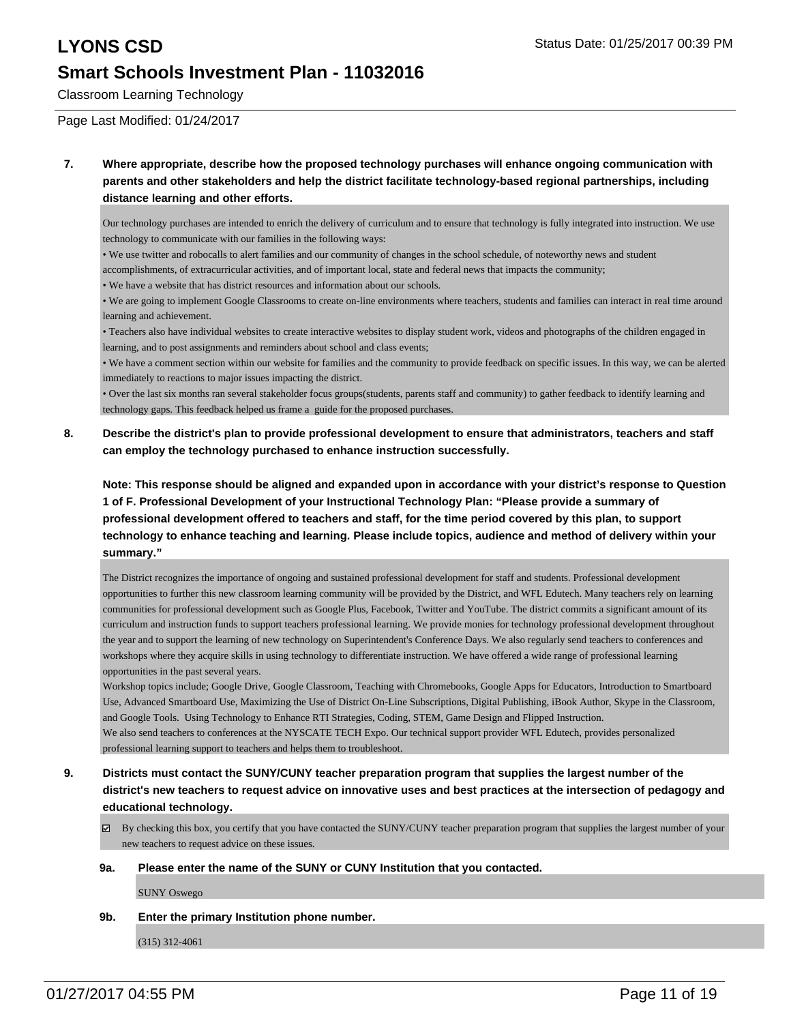Classroom Learning Technology

Page Last Modified: 01/24/2017

**7. Where appropriate, describe how the proposed technology purchases will enhance ongoing communication with parents and other stakeholders and help the district facilitate technology-based regional partnerships, including distance learning and other efforts.**

Our technology purchases are intended to enrich the delivery of curriculum and to ensure that technology is fully integrated into instruction. We use technology to communicate with our families in the following ways:

• We use twitter and robocalls to alert families and our community of changes in the school schedule, of noteworthy news and student

accomplishments, of extracurricular activities, and of important local, state and federal news that impacts the community;

• We have a website that has district resources and information about our schools.

• We are going to implement Google Classrooms to create on-line environments where teachers, students and families can interact in real time around learning and achievement.

• Teachers also have individual websites to create interactive websites to display student work, videos and photographs of the children engaged in learning, and to post assignments and reminders about school and class events;

• We have a comment section within our website for families and the community to provide feedback on specific issues. In this way, we can be alerted immediately to reactions to major issues impacting the district.

• Over the last six months ran several stakeholder focus groups(students, parents staff and community) to gather feedback to identify learning and technology gaps. This feedback helped us frame a guide for the proposed purchases.

**8. Describe the district's plan to provide professional development to ensure that administrators, teachers and staff can employ the technology purchased to enhance instruction successfully.**

**Note: This response should be aligned and expanded upon in accordance with your district's response to Question 1 of F. Professional Development of your Instructional Technology Plan: "Please provide a summary of professional development offered to teachers and staff, for the time period covered by this plan, to support technology to enhance teaching and learning. Please include topics, audience and method of delivery within your summary."**

The District recognizes the importance of ongoing and sustained professional development for staff and students. Professional development opportunities to further this new classroom learning community will be provided by the District, and WFL Edutech. Many teachers rely on learning communities for professional development such as Google Plus, Facebook, Twitter and YouTube. The district commits a significant amount of its curriculum and instruction funds to support teachers professional learning. We provide monies for technology professional development throughout the year and to support the learning of new technology on Superintendent's Conference Days. We also regularly send teachers to conferences and workshops where they acquire skills in using technology to differentiate instruction. We have offered a wide range of professional learning opportunities in the past several years.

Workshop topics include; Google Drive, Google Classroom, Teaching with Chromebooks, Google Apps for Educators, Introduction to Smartboard Use, Advanced Smartboard Use, Maximizing the Use of District On-Line Subscriptions, Digital Publishing, iBook Author, Skype in the Classroom, and Google Tools. Using Technology to Enhance RTI Strategies, Coding, STEM, Game Design and Flipped Instruction. We also send teachers to conferences at the NYSCATE TECH Expo. Our technical support provider WFL Edutech, provides personalized professional learning support to teachers and helps them to troubleshoot.

- **9. Districts must contact the SUNY/CUNY teacher preparation program that supplies the largest number of the district's new teachers to request advice on innovative uses and best practices at the intersection of pedagogy and educational technology.**
	- $\boxtimes$  By checking this box, you certify that you have contacted the SUNY/CUNY teacher preparation program that supplies the largest number of your new teachers to request advice on these issues.

## **9a. Please enter the name of the SUNY or CUNY Institution that you contacted.**

SUNY Oswego

**9b. Enter the primary Institution phone number.**

(315) 312-4061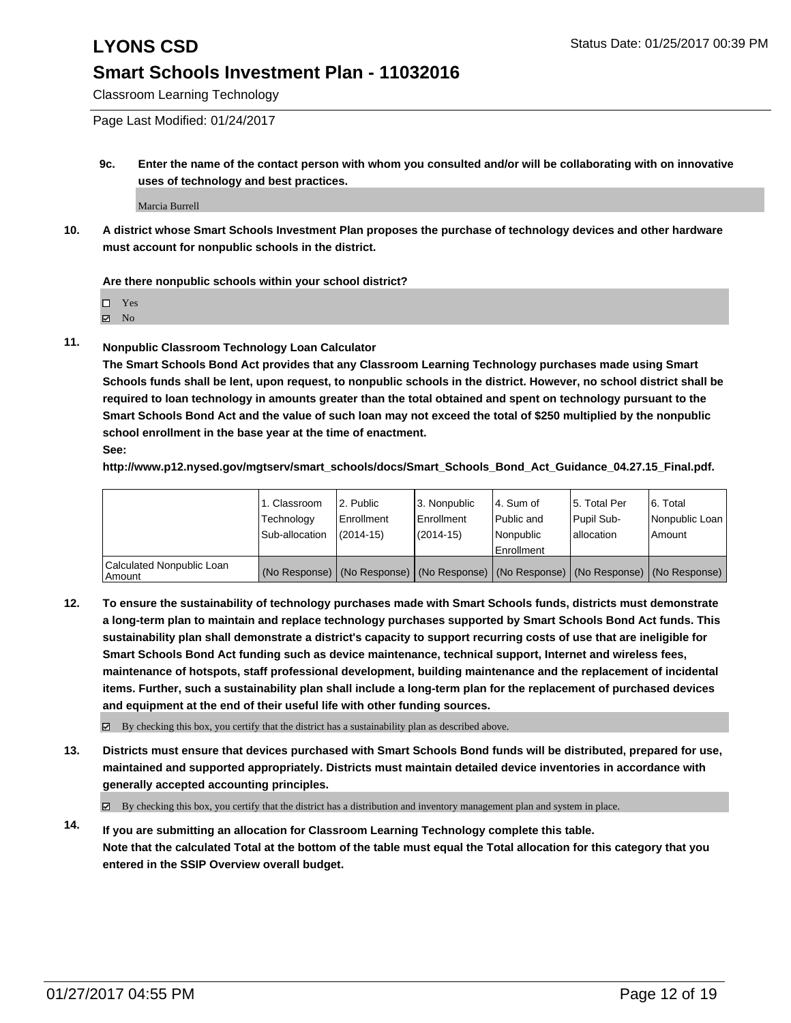Classroom Learning Technology

Page Last Modified: 01/24/2017

**9c. Enter the name of the contact person with whom you consulted and/or will be collaborating with on innovative uses of technology and best practices.**

Marcia Burrell

**10. A district whose Smart Schools Investment Plan proposes the purchase of technology devices and other hardware must account for nonpublic schools in the district.**

**Are there nonpublic schools within your school district?**

Yes

 $\boxtimes$  No

**11. Nonpublic Classroom Technology Loan Calculator**

**The Smart Schools Bond Act provides that any Classroom Learning Technology purchases made using Smart Schools funds shall be lent, upon request, to nonpublic schools in the district. However, no school district shall be required to loan technology in amounts greater than the total obtained and spent on technology pursuant to the Smart Schools Bond Act and the value of such loan may not exceed the total of \$250 multiplied by the nonpublic school enrollment in the base year at the time of enactment.**

**See:**

**http://www.p12.nysed.gov/mgtserv/smart\_schools/docs/Smart\_Schools\_Bond\_Act\_Guidance\_04.27.15\_Final.pdf.**

|                                     | 1. Classroom<br>Technology<br>Sub-allocation | 2. Public<br>i Enrollment<br>$(2014 - 15)$ | 13. Nonpublic<br><b>Enrollment</b><br>(2014-15) | 4. Sum of<br>l Public and<br>Nonpublic<br>Enrollment                                          | 15. Total Per<br>Pupil Sub-<br>lallocation | 6. Total<br>Nonpublic Loan<br>Amount |
|-------------------------------------|----------------------------------------------|--------------------------------------------|-------------------------------------------------|-----------------------------------------------------------------------------------------------|--------------------------------------------|--------------------------------------|
| Calculated Nonpublic Loan<br>Amount |                                              |                                            |                                                 | (No Response)   (No Response)   (No Response)   (No Response)   (No Response)   (No Response) |                                            |                                      |

**12. To ensure the sustainability of technology purchases made with Smart Schools funds, districts must demonstrate a long-term plan to maintain and replace technology purchases supported by Smart Schools Bond Act funds. This sustainability plan shall demonstrate a district's capacity to support recurring costs of use that are ineligible for Smart Schools Bond Act funding such as device maintenance, technical support, Internet and wireless fees, maintenance of hotspots, staff professional development, building maintenance and the replacement of incidental items. Further, such a sustainability plan shall include a long-term plan for the replacement of purchased devices and equipment at the end of their useful life with other funding sources.**

 $\boxtimes$  By checking this box, you certify that the district has a sustainability plan as described above.

**13. Districts must ensure that devices purchased with Smart Schools Bond funds will be distributed, prepared for use, maintained and supported appropriately. Districts must maintain detailed device inventories in accordance with generally accepted accounting principles.**

By checking this box, you certify that the district has a distribution and inventory management plan and system in place.

**14. If you are submitting an allocation for Classroom Learning Technology complete this table. Note that the calculated Total at the bottom of the table must equal the Total allocation for this category that you entered in the SSIP Overview overall budget.**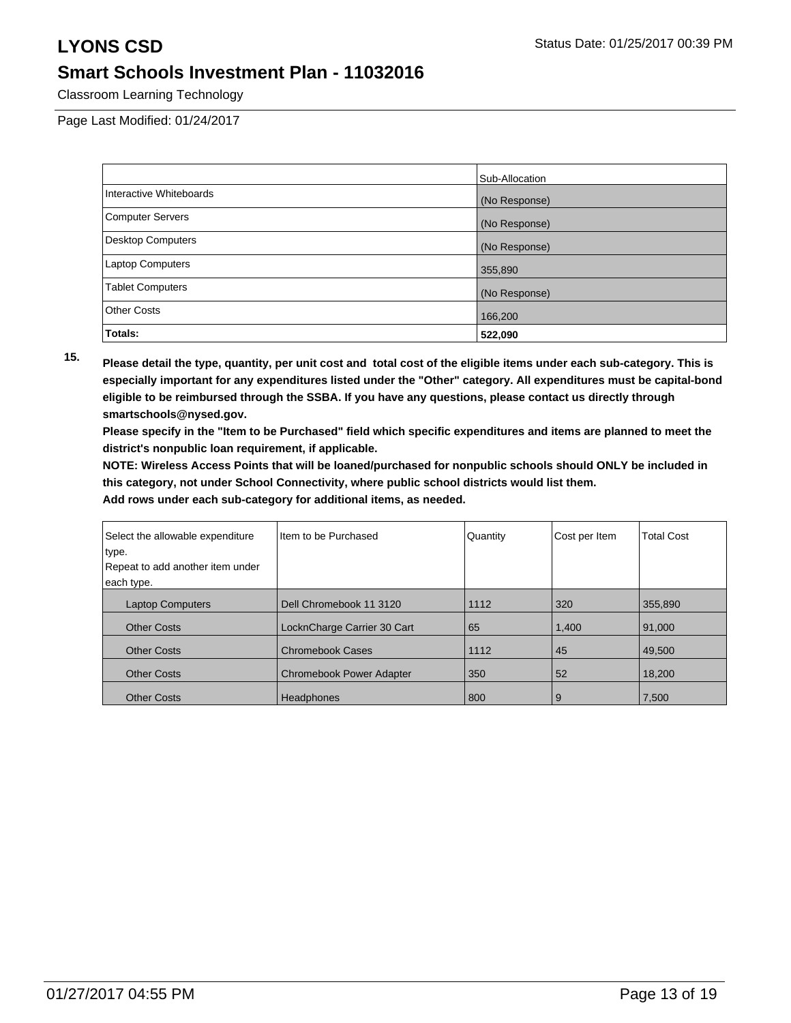Classroom Learning Technology

Page Last Modified: 01/24/2017

|                          | Sub-Allocation |
|--------------------------|----------------|
| Interactive Whiteboards  | (No Response)  |
| <b>Computer Servers</b>  | (No Response)  |
| <b>Desktop Computers</b> | (No Response)  |
| Laptop Computers         | 355,890        |
| <b>Tablet Computers</b>  | (No Response)  |
| <b>Other Costs</b>       | 166,200        |
| Totals:                  | 522,090        |

**15. Please detail the type, quantity, per unit cost and total cost of the eligible items under each sub-category. This is especially important for any expenditures listed under the "Other" category. All expenditures must be capital-bond eligible to be reimbursed through the SSBA. If you have any questions, please contact us directly through smartschools@nysed.gov.**

**Please specify in the "Item to be Purchased" field which specific expenditures and items are planned to meet the district's nonpublic loan requirement, if applicable.**

**NOTE: Wireless Access Points that will be loaned/purchased for nonpublic schools should ONLY be included in this category, not under School Connectivity, where public school districts would list them.**

| Select the allowable expenditure<br>type. | Item to be Purchased            | Quantity | Cost per Item | <b>Total Cost</b> |
|-------------------------------------------|---------------------------------|----------|---------------|-------------------|
| Repeat to add another item under          |                                 |          |               |                   |
| each type.                                |                                 |          |               |                   |
| <b>Laptop Computers</b>                   | Dell Chromebook 11 3120         | 1112     | 320           | 355,890           |
| <b>Other Costs</b>                        | LocknCharge Carrier 30 Cart     | 65       | 1,400         | 91.000            |
| <b>Other Costs</b>                        | <b>Chromebook Cases</b>         | 1112     | 45            | 49.500            |
| <b>Other Costs</b>                        | <b>Chromebook Power Adapter</b> | 350      | 52            | 18,200            |
| <b>Other Costs</b>                        | Headphones                      | 800      | 9             | 7,500             |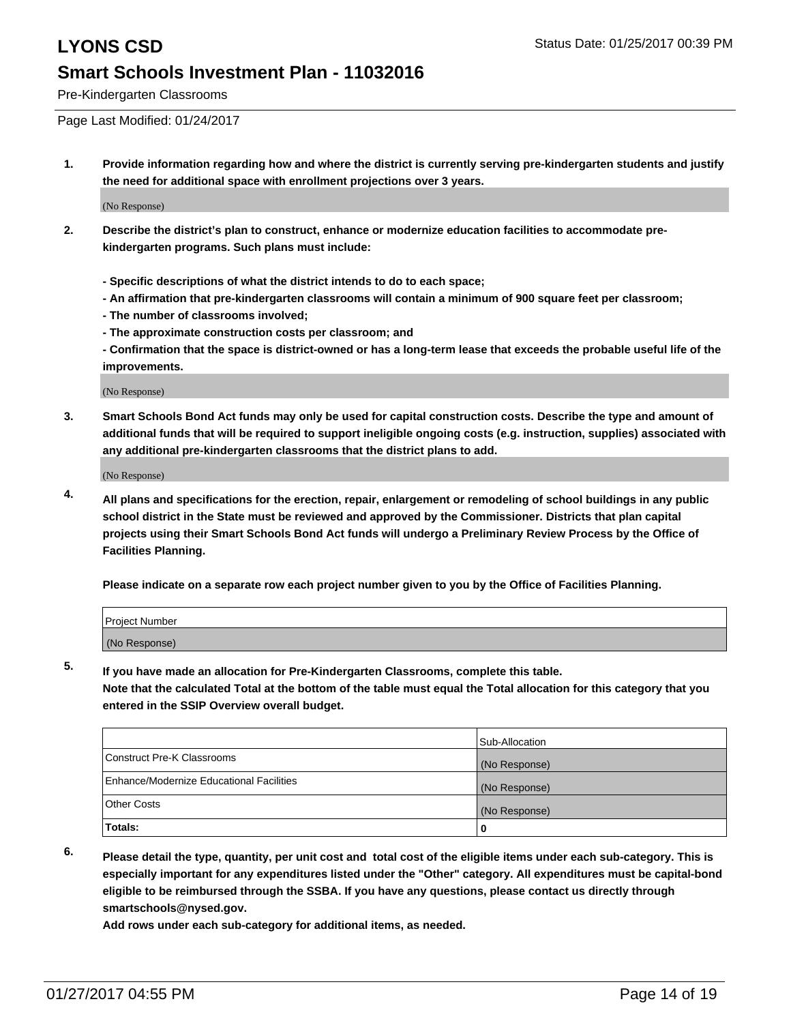Pre-Kindergarten Classrooms

Page Last Modified: 01/24/2017

**1. Provide information regarding how and where the district is currently serving pre-kindergarten students and justify the need for additional space with enrollment projections over 3 years.**

(No Response)

- **2. Describe the district's plan to construct, enhance or modernize education facilities to accommodate prekindergarten programs. Such plans must include:**
	- **Specific descriptions of what the district intends to do to each space;**
	- **An affirmation that pre-kindergarten classrooms will contain a minimum of 900 square feet per classroom;**
	- **The number of classrooms involved;**
	- **The approximate construction costs per classroom; and**
	- **Confirmation that the space is district-owned or has a long-term lease that exceeds the probable useful life of the improvements.**

(No Response)

**3. Smart Schools Bond Act funds may only be used for capital construction costs. Describe the type and amount of additional funds that will be required to support ineligible ongoing costs (e.g. instruction, supplies) associated with any additional pre-kindergarten classrooms that the district plans to add.**

(No Response)

**4. All plans and specifications for the erection, repair, enlargement or remodeling of school buildings in any public school district in the State must be reviewed and approved by the Commissioner. Districts that plan capital projects using their Smart Schools Bond Act funds will undergo a Preliminary Review Process by the Office of Facilities Planning.**

**Please indicate on a separate row each project number given to you by the Office of Facilities Planning.**

| Project Number |  |  |
|----------------|--|--|
| (No Response)  |  |  |

**5. If you have made an allocation for Pre-Kindergarten Classrooms, complete this table.**

**Note that the calculated Total at the bottom of the table must equal the Total allocation for this category that you entered in the SSIP Overview overall budget.**

|                                          | Sub-Allocation |
|------------------------------------------|----------------|
| Construct Pre-K Classrooms               | (No Response)  |
| Enhance/Modernize Educational Facilities | (No Response)  |
| Other Costs                              | (No Response)  |
| Totals:                                  |                |

**6. Please detail the type, quantity, per unit cost and total cost of the eligible items under each sub-category. This is especially important for any expenditures listed under the "Other" category. All expenditures must be capital-bond eligible to be reimbursed through the SSBA. If you have any questions, please contact us directly through smartschools@nysed.gov.**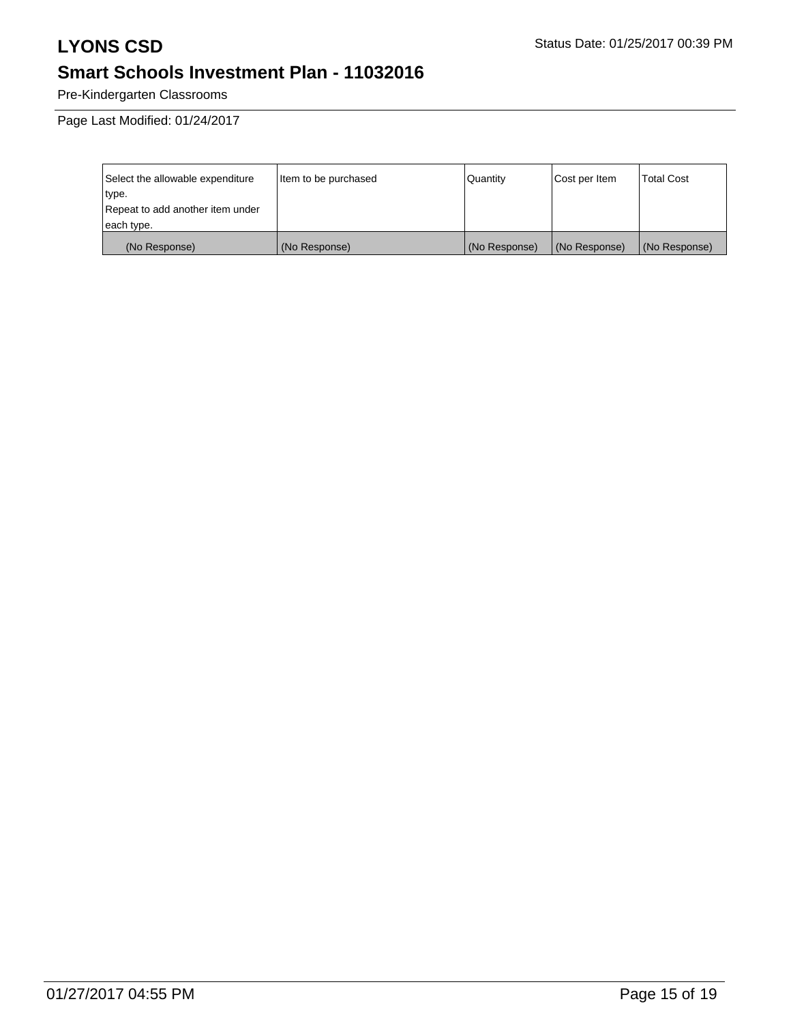Pre-Kindergarten Classrooms

Page Last Modified: 01/24/2017

| Select the allowable expenditure | Item to be purchased | Quantity      | Cost per Item | Total Cost    |
|----------------------------------|----------------------|---------------|---------------|---------------|
| type.                            |                      |               |               |               |
| Repeat to add another item under |                      |               |               |               |
| each type.                       |                      |               |               |               |
| (No Response)                    | (No Response)        | (No Response) | (No Response) | (No Response) |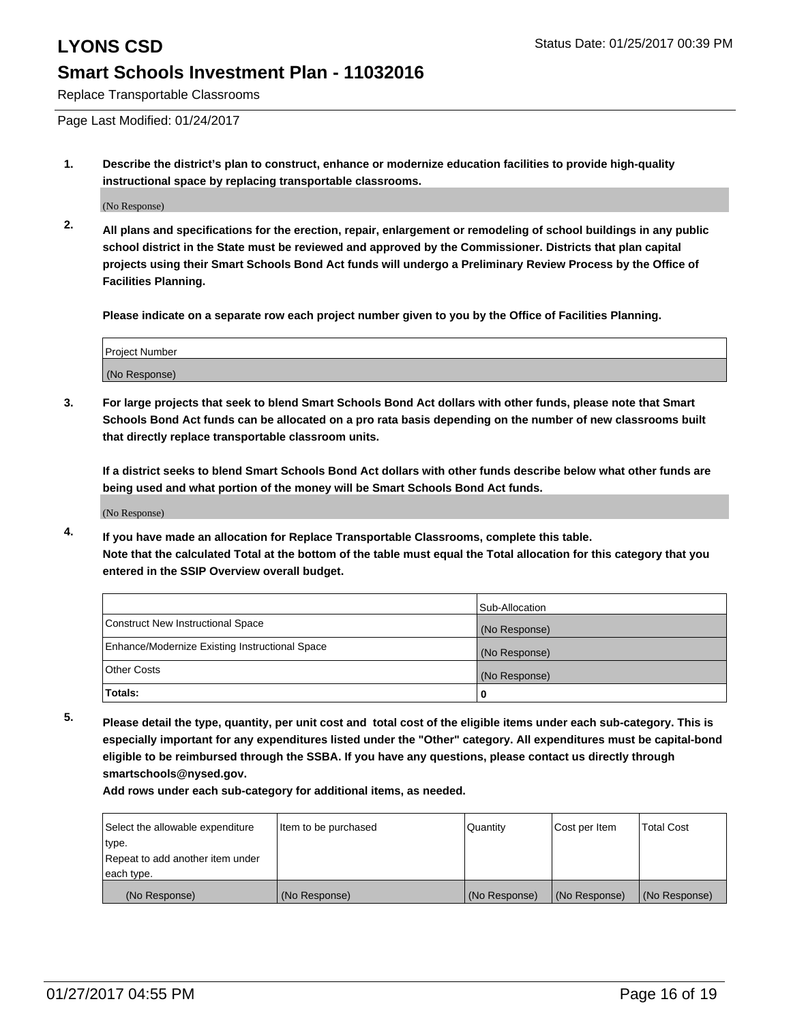Replace Transportable Classrooms

Page Last Modified: 01/24/2017

**1. Describe the district's plan to construct, enhance or modernize education facilities to provide high-quality instructional space by replacing transportable classrooms.**

(No Response)

**2. All plans and specifications for the erection, repair, enlargement or remodeling of school buildings in any public school district in the State must be reviewed and approved by the Commissioner. Districts that plan capital projects using their Smart Schools Bond Act funds will undergo a Preliminary Review Process by the Office of Facilities Planning.**

**Please indicate on a separate row each project number given to you by the Office of Facilities Planning.**

| <b>Project Number</b> |  |
|-----------------------|--|
| (No Response)         |  |

**3. For large projects that seek to blend Smart Schools Bond Act dollars with other funds, please note that Smart Schools Bond Act funds can be allocated on a pro rata basis depending on the number of new classrooms built that directly replace transportable classroom units.**

**If a district seeks to blend Smart Schools Bond Act dollars with other funds describe below what other funds are being used and what portion of the money will be Smart Schools Bond Act funds.**

(No Response)

**4. If you have made an allocation for Replace Transportable Classrooms, complete this table. Note that the calculated Total at the bottom of the table must equal the Total allocation for this category that you entered in the SSIP Overview overall budget.**

|                                                | Sub-Allocation |
|------------------------------------------------|----------------|
| Construct New Instructional Space              | (No Response)  |
| Enhance/Modernize Existing Instructional Space | (No Response)  |
| Other Costs                                    | (No Response)  |
| <b>Totals:</b>                                 |                |

**5. Please detail the type, quantity, per unit cost and total cost of the eligible items under each sub-category. This is especially important for any expenditures listed under the "Other" category. All expenditures must be capital-bond eligible to be reimbursed through the SSBA. If you have any questions, please contact us directly through smartschools@nysed.gov.**

| Select the allowable expenditure | Item to be purchased | Quantity      | Cost per Item | <b>Total Cost</b> |
|----------------------------------|----------------------|---------------|---------------|-------------------|
| type.                            |                      |               |               |                   |
| Repeat to add another item under |                      |               |               |                   |
| each type.                       |                      |               |               |                   |
| (No Response)                    | (No Response)        | (No Response) | (No Response) | (No Response)     |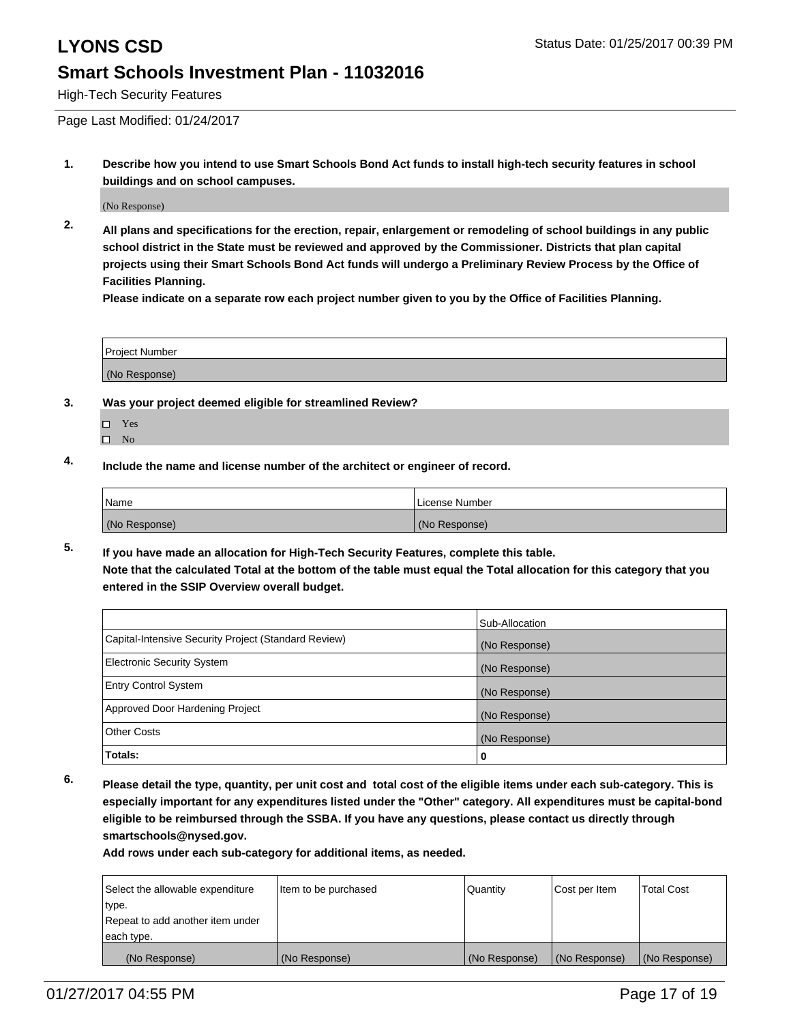High-Tech Security Features

Page Last Modified: 01/24/2017

**1. Describe how you intend to use Smart Schools Bond Act funds to install high-tech security features in school buildings and on school campuses.**

(No Response)

**2. All plans and specifications for the erection, repair, enlargement or remodeling of school buildings in any public school district in the State must be reviewed and approved by the Commissioner. Districts that plan capital projects using their Smart Schools Bond Act funds will undergo a Preliminary Review Process by the Office of Facilities Planning.** 

**Please indicate on a separate row each project number given to you by the Office of Facilities Planning.**

| Project Number |  |
|----------------|--|
| (No Response)  |  |

- **3. Was your project deemed eligible for streamlined Review?**
	- Yes
	- $\square$  No
- **4. Include the name and license number of the architect or engineer of record.**

| Name          | License Number |
|---------------|----------------|
| (No Response) | (No Response)  |

**5. If you have made an allocation for High-Tech Security Features, complete this table. Note that the calculated Total at the bottom of the table must equal the Total allocation for this category that you entered in the SSIP Overview overall budget.**

|                                                      | Sub-Allocation |
|------------------------------------------------------|----------------|
| Capital-Intensive Security Project (Standard Review) | (No Response)  |
| <b>Electronic Security System</b>                    | (No Response)  |
| <b>Entry Control System</b>                          | (No Response)  |
| Approved Door Hardening Project                      | (No Response)  |
| <b>Other Costs</b>                                   | (No Response)  |
| Totals:                                              | 0              |

**6. Please detail the type, quantity, per unit cost and total cost of the eligible items under each sub-category. This is especially important for any expenditures listed under the "Other" category. All expenditures must be capital-bond eligible to be reimbursed through the SSBA. If you have any questions, please contact us directly through smartschools@nysed.gov.**

| Select the allowable expenditure | Item to be purchased | Quantity      | Cost per Item | <b>Total Cost</b> |
|----------------------------------|----------------------|---------------|---------------|-------------------|
| type.                            |                      |               |               |                   |
| Repeat to add another item under |                      |               |               |                   |
| each type.                       |                      |               |               |                   |
| (No Response)                    | (No Response)        | (No Response) | (No Response) | (No Response)     |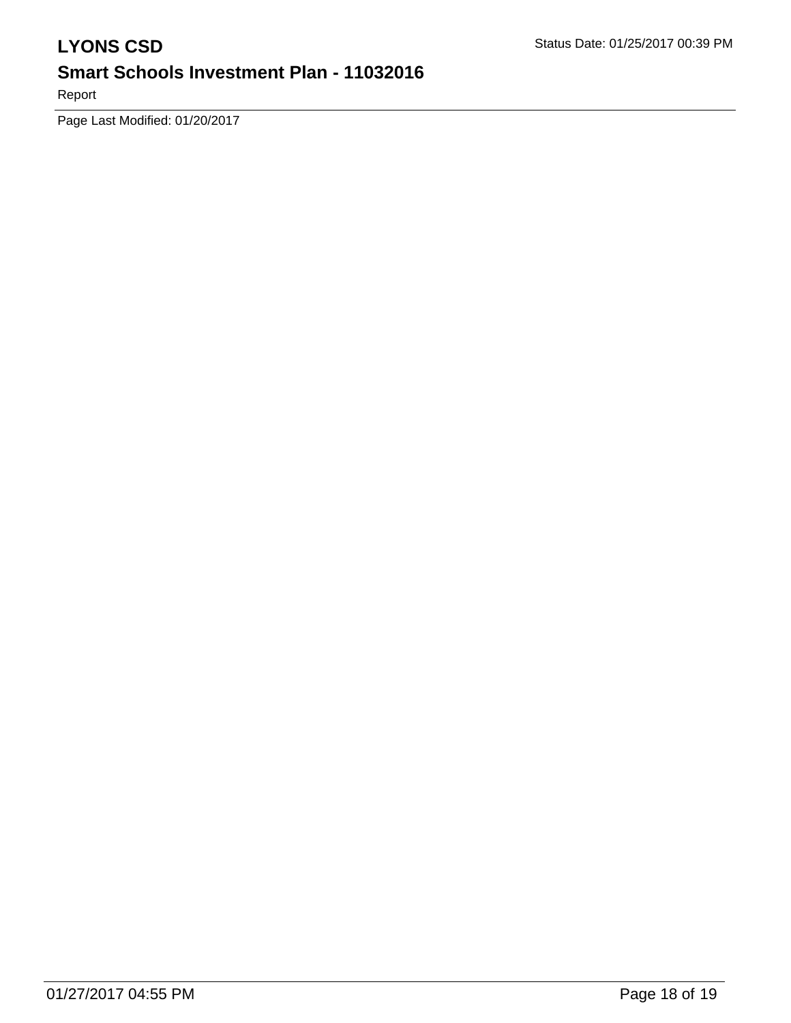Report

Page Last Modified: 01/20/2017